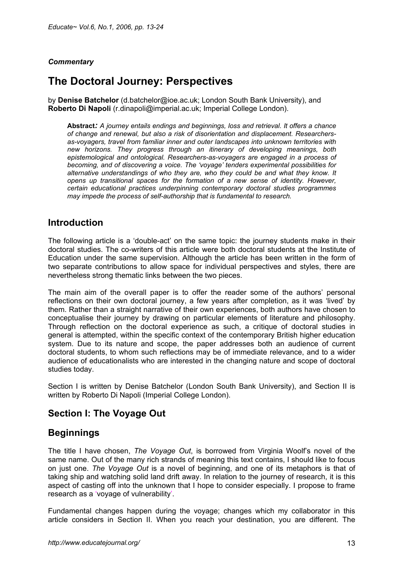#### *Commentary*

# **The Doctoral Journey: Perspectives**

by **Denise Batchelor** (d.batchelor@ioe.ac.uk; London South Bank University), and **Roberto Di Napoli** (r.dinapoli@imperial.ac.uk; Imperial College London).

**Abstract***: A journey entails endings and beginnings, loss and retrieval. It offers a chance of change and renewal, but also a risk of disorientation and displacement. Researchersas-voyagers, travel from familiar inner and outer landscapes into unknown territories with new horizons. They progress through an itinerary of developing meanings, both epistemological and ontological. Researchers-as-voyagers are engaged in a process of becoming, and of discovering a voice. The 'voyage' tenders experimental possibilities for alternative understandings of who they are, who they could be and what they know. It opens up transitional spaces for the formation of a new sense of identity. However, certain educational practices underpinning contemporary doctoral studies programmes may impede the process of self-authorship that is fundamental to research.* 

### **Introduction**

The following article is a 'double-act' on the same topic: the journey students make in their doctoral studies. The co-writers of this article were both doctoral students at the Institute of Education under the same supervision. Although the article has been written in the form of two separate contributions to allow space for individual perspectives and styles, there are nevertheless strong thematic links between the two pieces.

The main aim of the overall paper is to offer the reader some of the authors' personal reflections on their own doctoral journey, a few years after completion, as it was 'lived' by them. Rather than a straight narrative of their own experiences, both authors have chosen to conceptualise their journey by drawing on particular elements of literature and philosophy. Through reflection on the doctoral experience as such, a critique of doctoral studies in general is attempted, within the specific context of the contemporary British higher education system. Due to its nature and scope, the paper addresses both an audience of current doctoral students, to whom such reflections may be of immediate relevance, and to a wider audience of educationalists who are interested in the changing nature and scope of doctoral studies today.

Section I is written by Denise Batchelor (London South Bank University), and Section II is written by Roberto Di Napoli (Imperial College London).

### **Section I: The Voyage Out**

### **Beginnings**

The title I have chosen, *The Voyage Out*, is borrowed from Virginia Woolf's novel of the same name. Out of the many rich strands of meaning this text contains, I should like to focus on just one. *The Voyage Out* is a novel of beginning, and one of its metaphors is that of taking ship and watching solid land drift away. In relation to the journey of research, it is this aspect of casting off into the unknown that I hope to consider especially. I propose to frame research as a 'voyage of vulnerability'.

Fundamental changes happen during the voyage; changes which my collaborator in this article considers in Section II. When you reach your destination, you are different. The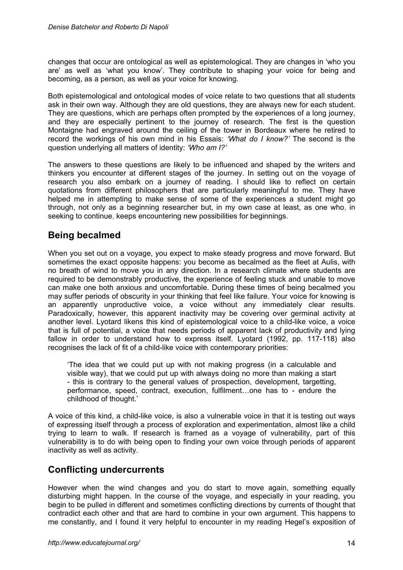changes that occur are ontological as well as epistemological. They are changes in 'who you are' as well as 'what you know'. They contribute to shaping your voice for being and becoming, as a person, as well as your voice for knowing.

Both epistemological and ontological modes of voice relate to two questions that all students ask in their own way. Although they are old questions, they are always new for each student. They are questions, which are perhaps often prompted by the experiences of a long journey, and they are especially pertinent to the journey of research. The first is the question Montaigne had engraved around the ceiling of the tower in Bordeaux where he retired to record the workings of his own mind in his Essais: *'What do I know?'* The second is the question underlying all matters of identity: *'Who am I?'* 

The answers to these questions are likely to be influenced and shaped by the writers and thinkers you encounter at different stages of the journey. In setting out on the voyage of research you also embark on a journey of reading. I should like to reflect on certain quotations from different philosophers that are particularly meaningful to me. They have helped me in attempting to make sense of some of the experiences a student might go through, not only as a beginning researcher but, in my own case at least, as one who, in seeking to continue, keeps encountering new possibilities for beginnings.

# **Being becalmed**

When you set out on a voyage, you expect to make steady progress and move forward. But sometimes the exact opposite happens: you become as becalmed as the fleet at Aulis, with no breath of wind to move you in any direction. In a research climate where students are required to be demonstrably productive, the experience of feeling stuck and unable to move can make one both anxious and uncomfortable. During these times of being becalmed you may suffer periods of obscurity in your thinking that feel like failure. Your voice for knowing is an apparently unproductive voice, a voice without any immediately clear results. Paradoxically, however, this apparent inactivity may be covering over germinal activity at another level. Lyotard likens this kind of epistemological voice to a child-like voice, a voice that is full of potential, a voice that needs periods of apparent lack of productivity and lying fallow in order to understand how to express itself. Lyotard (1992, pp. 117-118) also recognises the lack of fit of a child-like voice with contemporary priorities:

'The idea that we could put up with not making progress (in a calculable and visible way), that we could put up with always doing no more than making a start - this is contrary to the general values of prospection, development, targetting, performance, speed, contract, execution, fulfilment…one has to - endure the childhood of thought.'

A voice of this kind, a child-like voice, is also a vulnerable voice in that it is testing out ways of expressing itself through a process of exploration and experimentation, almost like a child trying to learn to walk. If research is framed as a voyage of vulnerability, part of this vulnerability is to do with being open to finding your own voice through periods of apparent inactivity as well as activity.

# **Conflicting undercurrents**

However when the wind changes and you do start to move again, something equally disturbing might happen. In the course of the voyage, and especially in your reading, you begin to be pulled in different and sometimes conflicting directions by currents of thought that contradict each other and that are hard to combine in your own argument. This happens to me constantly, and I found it very helpful to encounter in my reading Hegel's exposition of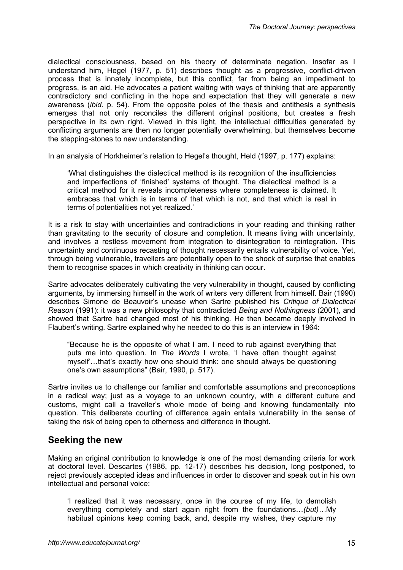dialectical consciousness, based on his theory of determinate negation. Insofar as I understand him, Hegel (1977, p. 51) describes thought as a progressive, conflict-driven process that is innately incomplete, but this conflict, far from being an impediment to progress, is an aid. He advocates a patient waiting with ways of thinking that are apparently contradictory and conflicting in the hope and expectation that they will generate a new awareness (*ibid*. p. 54). From the opposite poles of the thesis and antithesis a synthesis emerges that not only reconciles the different original positions, but creates a fresh perspective in its own right. Viewed in this light, the intellectual difficulties generated by conflicting arguments are then no longer potentially overwhelming, but themselves become the stepping-stones to new understanding.

In an analysis of Horkheimer's relation to Hegel's thought, Held (1997, p. 177) explains:

'What distinguishes the dialectical method is its recognition of the insufficiencies and imperfections of 'finished' systems of thought. The dialectical method is a critical method for it reveals incompleteness where completeness is claimed. It embraces that which is in terms of that which is not, and that which is real in terms of potentialities not yet realized.'

It is a risk to stay with uncertainties and contradictions in your reading and thinking rather than gravitating to the security of closure and completion. It means living with uncertainty, and involves a restless movement from integration to disintegration to reintegration. This uncertainty and continuous recasting of thought necessarily entails vulnerability of voice. Yet, through being vulnerable, travellers are potentially open to the shock of surprise that enables them to recognise spaces in which creativity in thinking can occur.

Sartre advocates deliberately cultivating the very vulnerability in thought, caused by conflicting arguments, by immersing himself in the work of writers very different from himself. Bair (1990) describes Simone de Beauvoir's unease when Sartre published his *Critique of Dialectical Reason* (1991): it was a new philosophy that contradicted *Being and Nothingness* (2001), and showed that Sartre had changed most of his thinking. He then became deeply involved in Flaubert's writing. Sartre explained why he needed to do this is an interview in 1964:

"Because he is the opposite of what I am. I need to rub against everything that puts me into question. In *The Words* I wrote, 'I have often thought against myself'…that's exactly how one should think: one should always be questioning one's own assumptions" (Bair, 1990, p. 517).

Sartre invites us to challenge our familiar and comfortable assumptions and preconceptions in a radical way; just as a voyage to an unknown country, with a different culture and customs, might call a traveller's whole mode of being and knowing fundamentally into question. This deliberate courting of difference again entails vulnerability in the sense of taking the risk of being open to otherness and difference in thought.

#### **Seeking the new**

Making an original contribution to knowledge is one of the most demanding criteria for work at doctoral level. Descartes (1986, pp. 12-17) describes his decision, long postponed, to reject previously accepted ideas and influences in order to discover and speak out in his own intellectual and personal voice:

'I realized that it was necessary, once in the course of my life, to demolish everything completely and start again right from the foundations…*(but)…*My habitual opinions keep coming back, and, despite my wishes, they capture my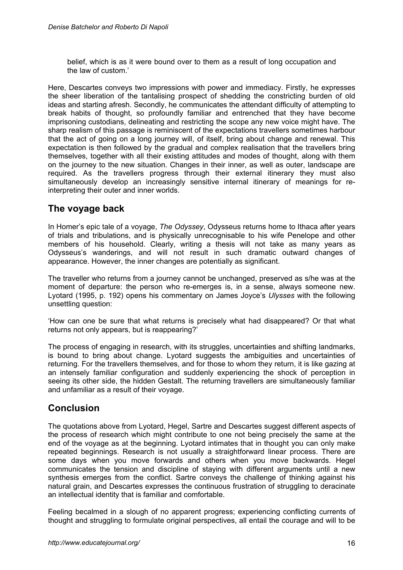belief, which is as it were bound over to them as a result of long occupation and the law of custom.'

Here, Descartes conveys two impressions with power and immediacy. Firstly, he expresses the sheer liberation of the tantalising prospect of shedding the constricting burden of old ideas and starting afresh. Secondly, he communicates the attendant difficulty of attempting to break habits of thought, so profoundly familiar and entrenched that they have become imprisoning custodians, delineating and restricting the scope any new voice might have. The sharp realism of this passage is reminiscent of the expectations travellers sometimes harbour that the act of going on a long journey will, of itself, bring about change and renewal. This expectation is then followed by the gradual and complex realisation that the travellers bring themselves, together with all their existing attitudes and modes of thought, along with them on the journey to the new situation. Changes in their inner, as well as outer, landscape are required. As the travellers progress through their external itinerary they must also simultaneously develop an increasingly sensitive internal itinerary of meanings for reinterpreting their outer and inner worlds.

# **The voyage back**

In Homer's epic tale of a voyage, *The Odyssey*, Odysseus returns home to Ithaca after years of trials and tribulations, and is physically unrecognisable to his wife Penelope and other members of his household. Clearly, writing a thesis will not take as many years as Odysseus's wanderings, and will not result in such dramatic outward changes of appearance. However, the inner changes are potentially as significant.

The traveller who returns from a journey cannot be unchanged, preserved as s/he was at the moment of departure: the person who re-emerges is, in a sense, always someone new. Lyotard (1995, p. 192) opens his commentary on James Joyce's *Ulysses* with the following unsettling question:

'How can one be sure that what returns is precisely what had disappeared? Or that what returns not only appears, but is reappearing?'

The process of engaging in research, with its struggles, uncertainties and shifting landmarks, is bound to bring about change. Lyotard suggests the ambiguities and uncertainties of returning. For the travellers themselves, and for those to whom they return, it is like gazing at an intensely familiar configuration and suddenly experiencing the shock of perception in seeing its other side, the hidden Gestalt. The returning travellers are simultaneously familiar and unfamiliar as a result of their voyage.

# **Conclusion**

The quotations above from Lyotard, Hegel, Sartre and Descartes suggest different aspects of the process of research which might contribute to one not being precisely the same at the end of the voyage as at the beginning. Lyotard intimates that in thought you can only make repeated beginnings. Research is not usually a straightforward linear process. There are some days when you move forwards and others when you move backwards. Hegel communicates the tension and discipline of staying with different arguments until a new synthesis emerges from the conflict. Sartre conveys the challenge of thinking against his natural grain, and Descartes expresses the continuous frustration of struggling to deracinate an intellectual identity that is familiar and comfortable.

Feeling becalmed in a slough of no apparent progress; experiencing conflicting currents of thought and struggling to formulate original perspectives, all entail the courage and will to be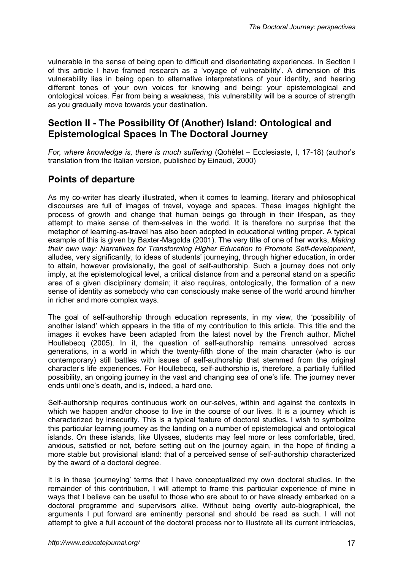vulnerable in the sense of being open to difficult and disorientating experiences. In Section I of this article I have framed research as a 'voyage of vulnerability'. A dimension of this vulnerability lies in being open to alternative interpretations of your identity, and hearing different tones of your own voices for knowing and being: your epistemological and ontological voices. Far from being a weakness, this vulnerability will be a source of strength as you gradually move towards your destination.

## **Section II - The Possibility Of (Another) Island: Ontological and Epistemological Spaces In The Doctoral Journey**

*For, where knowledge is, there is much suffering* (Qohèlet – Ecclesiaste, I, 17-18) (author's translation from the Italian version, published by Einaudi, 2000)

# **Points of departure**

As my co-writer has clearly illustrated, when it comes to learning, literary and philosophical discourses are full of images of travel, voyage and spaces. These images highlight the process of growth and change that human beings go through in their lifespan, as they attempt to make sense of them-selves in the world. It is therefore no surprise that the metaphor of learning-as-travel has also been adopted in educational writing proper. A typical example of this is given by Baxter-Magolda (2001). The very title of one of her works, *Making their own way: Narratives for Transforming Higher Education to Promote Self-development*, alludes, very significantly, to ideas of students' journeying, through higher education, in order to attain, however provisionally, the goal of self-authorship. Such a journey does not only imply, at the epistemological level, a critical distance from and a personal stand on a specific area of a given disciplinary domain; it also requires, ontologically, the formation of a new sense of identity as somebody who can consciously make sense of the world around him/her in richer and more complex ways.

The goal of self-authorship through education represents, in my view, the 'possibility of another island' which appears in the title of my contribution to this article. This title and the images it evokes have been adapted from the latest novel by the French author, Michel Houllebecq (2005). In it, the question of self-authorship remains unresolved across generations, in a world in which the twenty-fifth clone of the main character (who is our contemporary) still battles with issues of self-authorship that stemmed from the original character's life experiences. For Houllebecq, self-authorship is, therefore, a partially fulfilled possibility, an ongoing journey in the vast and changing sea of one's life. The journey never ends until one's death, and is, indeed, a hard one.

Self-authorship requires continuous work on our-selves, within and against the contexts in which we happen and/or choose to live in the course of our lives. It is a journey which is characterized by insecurity. This is a typical feature of doctoral studies**.** I wish to symbolize this particular learning journey as the landing on a number of epistemological and ontological islands. On these islands, like Ulysses, students may feel more or less comfortable, tired, anxious, satisfied or not, before setting out on the journey again, in the hope of finding a more stable but provisional island: that of a perceived sense of self-authorship characterized by the award of a doctoral degree.

It is in these 'journeying' terms that I have conceptualized my own doctoral studies. In the remainder of this contribution, I will attempt to frame this particular experience of mine in ways that I believe can be useful to those who are about to or have already embarked on a doctoral programme and supervisors alike. Without being overtly auto-biographical, the arguments I put forward are eminently personal and should be read as such. I will not attempt to give a full account of the doctoral process nor to illustrate all its current intricacies,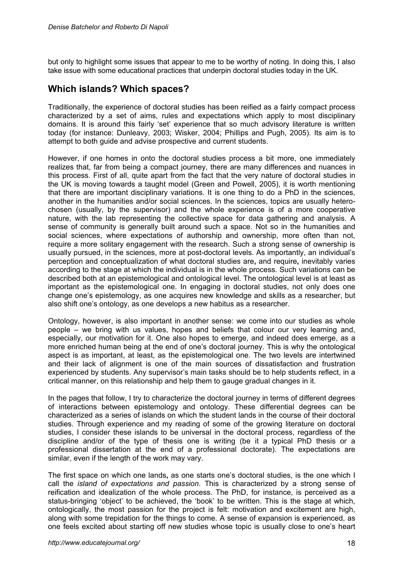but only to highlight some issues that appear to me to be worthy of noting. In doing this, I also take issue with some educational practices that underpin doctoral studies today in the UK.

### **Which islands? Which spaces?**

Traditionally, the experience of doctoral studies has been reified as a fairly compact process characterized by a set of aims, rules and expectations which apply to most disciplinary domains. It is around this fairly 'set' experience that so much advisory literature is written today (for instance: Dunleavy, 2003; Wisker, 2004; Phillips and Pugh, 2005). Its aim is to attempt to both guide and advise prospective and current students.

However, if one homes in onto the doctoral studies process a bit more, one immediately realizes that, far from being a compact journey, there are many differences and nuances in this process. First of all, quite apart from the fact that the very nature of doctoral studies in the UK is moving towards a taught model (Green and Powell, 2005), it is worth mentioning that there are important disciplinary variations. It is one thing to do a PhD in the sciences, another in the humanities and/or social sciences. In the sciences, topics are usually heterochosen (usually, by the supervisor) and the whole experience is of a more cooperative nature, with the lab representing the collective space for data gathering and analysis. A sense of community is generally built around such a space. Not so in the humanities and social sciences, where expectations of authorship and ownership, more often than not, require a more solitary engagement with the research. Such a strong sense of ownership is usually pursued, in the sciences, more at post-doctoral levels. As importantly, an individual's perception and conceptualization of what doctoral studies are**,** and require**,** inevitably varies according to the stage at which the individual is in the whole process. Such variations can be described both at an epistemological and ontological level. The ontological level is at least as important as the epistemological one. In engaging in doctoral studies, not only does one change one's epistemology, as one acquires new knowledge and skills as a researcher, but also shift one's ontology, as one develops a new habitus as a researcher.

Ontology, however, is also important in another sense: we come into our studies as whole people – we bring with us values, hopes and beliefs that colour our very learning and, especially, our motivation for it. One also hopes to emerge, and indeed does emerge, as a more enriched human being at the end of one's doctoral journey. This is why the ontological aspect is as important, at least, as the epistemological one. The two levels are intertwined and their lack of alignment is one of the main sources of dissatisfaction and frustration experienced by students. Any supervisor's main tasks should be to help students reflect, in a critical manner, on this relationship and help them to gauge gradual changes in it.

In the pages that follow, I try to characterize the doctoral journey in terms of different degrees of interactions between epistemology and ontology. These differential degrees can be characterized as a series of islands on which the student lands in the course of their doctoral studies. Through experience and my reading of some of the growing literature on doctoral studies, I consider these islands to be universal in the doctoral process, regardless of the discipline and/or of the type of thesis one is writing (be it a typical PhD thesis or a professional dissertation at the end of a professional doctorate). The expectations are similar, even if the length of the work may vary.

The first space on which one lands**,** as one starts one's doctoral studies, is the one which I call the *island of expectations and passion*. This is characterized by a strong sense of reification and idealization of the whole process. The PhD, for instance, is perceived as a status-bringing 'object' to be achieved, the 'book' to be written. This is the stage at which, ontologically, the most passion for the project is felt: motivation and excitement are high, along with some trepidation for the things to come. A sense of expansion is experienced, as one feels excited about starting off new studies whose topic is usually close to one's heart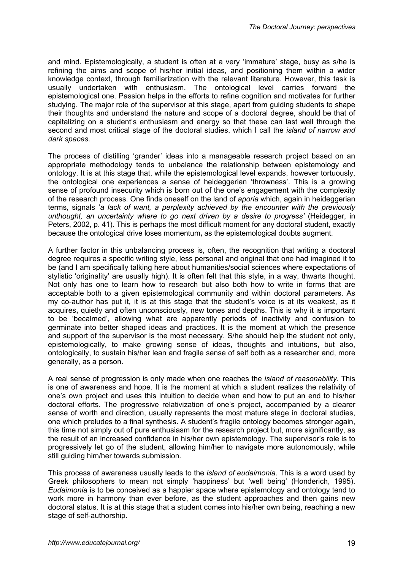and mind. Epistemologically, a student is often at a very 'immature' stage, busy as s/he is refining the aims and scope of his/her initial ideas, and positioning them within a wider knowledge context, through familiarization with the relevant literature. However, this task is usually undertaken with enthusiasm. The ontological level carries forward the epistemological one. Passion helps in the efforts to refine cognition and motivates for further studying. The major role of the supervisor at this stage, apart from guiding students to shape their thoughts and understand the nature and scope of a doctoral degree, should be that of capitalizing on a student's enthusiasm and energy so that these can last well through the second and most critical stage of the doctoral studies, which I call the *island of narrow and dark spaces*.

The process of distilling 'grander' ideas into a manageable research project based on an appropriate methodology tends to unbalance the relationship between epistemology and ontology. It is at this stage that, while the epistemological level expands, however tortuously, the ontological one experiences a sense of heideggerian 'throwness'. This is a growing sense of profound insecurity which is born out of the one's engagement with the complexity of the research process. One finds oneself on the land of *aporia* which, again in heideggerian terms, signals '*a lack of want, a perplexity achieved by the encounter with the previously unthought, an uncertainty where to go next driven by a desire to progress'* (Heidegger, in Peters, 2002, p. 41). This is perhaps the most difficult moment for any doctoral student, exactly because the ontological drive loses momentum**,** as the epistemological doubts augment.

A further factor in this unbalancing process is, often, the recognition that writing a doctoral degree requires a specific writing style, less personal and original that one had imagined it to be (and I am specifically talking here about humanities/social sciences where expectations of stylistic 'originality' are usually high). It is often felt that this style, in a way, thwarts thought. Not only has one to learn how to research but also both how to write in forms that are acceptable both to a given epistemological community and within doctoral parameters. As my co-author has put it, it is at this stage that the student's voice is at its weakest, as it acquires**,** quietly and often unconsciously, new tones and depths. This is why it is important to be 'becalmed', allowing what are apparently periods of inactivity and confusion to germinate into better shaped ideas and practices. It is the moment at which the presence and support of the supervisor is the most necessary. S/he should help the student not only, epistemologically, to make growing sense of ideas, thoughts and intuitions, but also, ontologically, to sustain his/her lean and fragile sense of self both as a researcher and, more generally, as a person.

A real sense of progression is only made when one reaches the *island of reasonability*. This is one of awareness and hope. It is the moment at which a student realizes the relativity of one's own project and uses this intuition to decide when and how to put an end to his/her doctoral efforts. The progressive relativization of one's project, accompanied by a clearer sense of worth and direction, usually represents the most mature stage in doctoral studies, one which preludes to a final synthesis. A student's fragile ontology becomes stronger again, this time not simply out of pure enthusiasm for the research project but, more significantly, as the result of an increased confidence in his/her own epistemology. The supervisor's role is to progressively let go of the student, allowing him/her to navigate more autonomously, while still guiding him/her towards submission.

This process of awareness usually leads to the *island of eudaimonia*. This is a word used by Greek philosophers to mean not simply 'happiness' but 'well being' (Honderich, 1995). *Eudaimonia* is to be conceived as a happier space where epistemology and ontology tend to work more in harmony than ever before, as the student approaches and then gains new doctoral status. It is at this stage that a student comes into his/her own being, reaching a new stage of self-authorship.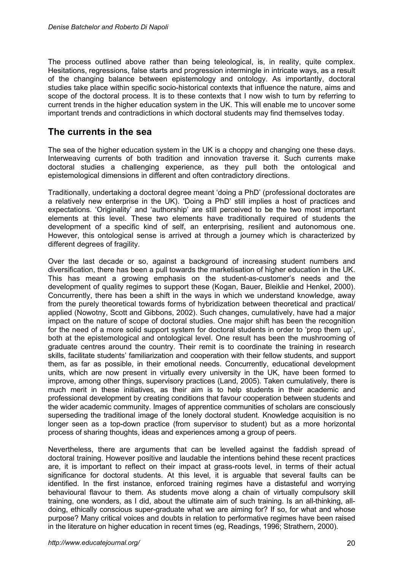The process outlined above rather than being teleological, is, in reality, quite complex. Hesitations, regressions, false starts and progression intermingle in intricate ways, as a result of the changing balance between epistemology and ontology. As importantly, doctoral studies take place within specific socio-historical contexts that influence the nature, aims and scope of the doctoral process. It is to these contexts that I now wish to turn by referring to current trends in the higher education system in the UK. This will enable me to uncover some important trends and contradictions in which doctoral students may find themselves today.

### **The currents in the sea**

The sea of the higher education system in the UK is a choppy and changing one these days. Interweaving currents of both tradition and innovation traverse it. Such currents make doctoral studies a challenging experience, as they pull both the ontological and epistemological dimensions in different and often contradictory directions.

Traditionally, undertaking a doctoral degree meant 'doing a PhD' (professional doctorates are a relatively new enterprise in the UK). 'Doing a PhD' still implies a host of practices and expectations. 'Originality' and 'authorship' are still perceived to be the two most important elements at this level. These two elements have traditionally required of students the development of a specific kind of self, an enterprising, resilient and autonomous one. However, this ontological sense is arrived at through a journey which is characterized by different degrees of fragility.

Over the last decade or so, against a background of increasing student numbers and diversification, there has been a pull towards the marketisation of higher education in the UK. This has meant a growing emphasis on the student-as-customer's needs and the development of quality regimes to support these (Kogan, Bauer, Bleiklie and Henkel, 2000). Concurrently, there has been a shift in the ways in which we understand knowledge, away from the purely theoretical towards forms of hybridization between theoretical and practical/ applied (Nowotny, Scott and Gibbons, 2002). Such changes, cumulatively, have had a major impact on the nature of scope of doctoral studies. One major shift has been the recognition for the need of a more solid support system for doctoral students in order to 'prop them up', both at the epistemological and ontological level. One result has been the mushrooming of graduate centres around the country. Their remit is to coordinate the training in research skills, facilitate students' familiarization and cooperation with their fellow students, and support them, as far as possible, in their emotional needs. Concurrently, educational development units, which are now present in virtually every university in the UK, have been formed to improve, among other things, supervisory practices (Land, 2005). Taken cumulatively, there is much merit in these initiatives, as their aim is to help students in their academic and professional development by creating conditions that favour cooperation between students and the wider academic community. Images of apprentice communities of scholars are consciously superseding the traditional image of the lonely doctoral student. Knowledge acquisition is no longer seen as a top-down practice (from supervisor to student) but as a more horizontal process of sharing thoughts, ideas and experiences among a group of peers.

Nevertheless, there are arguments that can be levelled against the faddish spread of doctoral training. However positive and laudable the intentions behind these recent practices are, it is important to reflect on their impact at grass-roots level, in terms of their actual significance for doctoral students. At this level, it is arguable that several faults can be identified. In the first instance, enforced training regimes have a distasteful and worrying behavioural flavour to them. As students move along a chain of virtually compulsory skill training, one wonders, as I did, about the ultimate aim of such training. Is an all-thinking, alldoing, ethically conscious super-graduate what we are aiming for? If so, for what and whose purpose? Many critical voices and doubts in relation to performative regimes have been raised in the literature on higher education in recent times (eg, Readings, 1996; Strathern, 2000).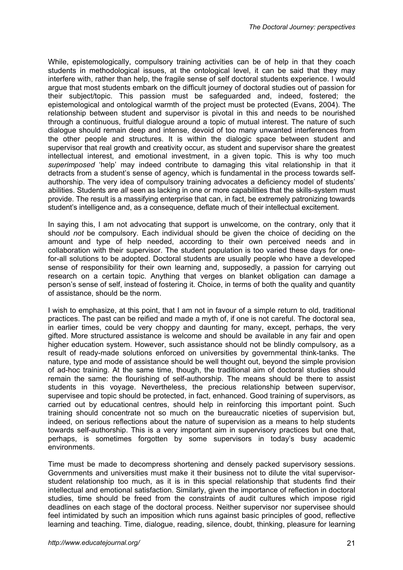While, epistemologically, compulsory training activities can be of help in that they coach students in methodological issues, at the ontological level, it can be said that they may interfere with, rather than help, the fragile sense of self doctoral students experience. I would argue that most students embark on the difficult journey of doctoral studies out of passion for their subject/topic. This passion must be safeguarded and, indeed, fostered; the epistemological and ontological warmth of the project must be protected (Evans, 2004). The relationship between student and supervisor is pivotal in this and needs to be nourished through a continuous, fruitful dialogue around a topic of mutual interest. The nature of such dialogue should remain deep and intense, devoid of too many unwanted interferences from the other people and structures. It is within the dialogic space between student and supervisor that real growth and creativity occur, as student and supervisor share the greatest intellectual interest, and emotional investment, in a given topic. This is why too much *superimposed* 'help' may indeed contribute to damaging this vital relationship in that it detracts from a student's sense of agency, which is fundamental in the process towards selfauthorship. The very idea of compulsory training advocates a deficiency model of students' abilities. Students are *all* seen as lacking in one or more capabilities that the skills-system must provide. The result is a massifying enterprise that can, in fact, be extremely patronizing towards student's intelligence and, as a consequence, deflate much of their intellectual excitement.

In saying this, I am not advocating that support is unwelcome, on the contrary, only that it should *not* be compulsory. Each individual should be given the choice of deciding on the amount and type of help needed, according to their own perceived needs and in collaboration with their supervisor. The student population is too varied these days for onefor-all solutions to be adopted. Doctoral students are usually people who have a developed sense of responsibility for their own learning and, supposedly, a passion for carrying out research on a certain topic. Anything that verges on blanket obligation can damage a person's sense of self, instead of fostering it. Choice, in terms of both the quality and quantity of assistance, should be the norm.

I wish to emphasize, at this point, that I am not in favour of a simple return to old, traditional practices. The past can be reified and made a myth of, if one is not careful. The doctoral sea, in earlier times, could be very choppy and daunting for many, except, perhaps, the very gifted. More structured assistance is welcome and should be available in any fair and open higher education system. However, such assistance should not be blindly compulsory, as a result of ready-made solutions enforced on universities by governmental think-tanks. The nature, type and mode of assistance should be well thought out, beyond the simple provision of ad-hoc training. At the same time, though, the traditional aim of doctoral studies should remain the same: the flourishing of self-authorship. The means should be there to assist students in this voyage. Nevertheless, the precious relationship between supervisor, supervisee and topic should be protected, in fact, enhanced. Good training of supervisors, as carried out by educational centres, should help in reinforcing this important point. Such training should concentrate not so much on the bureaucratic niceties of supervision but, indeed, on serious reflections about the nature of supervision as a means to help students towards self-authorship. This is a very important aim in supervisory practices but one that, perhaps, is sometimes forgotten by some supervisors in today's busy academic environments.

Time must be made to decompress shortening and densely packed supervisory sessions. Governments and universities must make it their business not to dilute the vital supervisorstudent relationship too much, as it is in this special relationship that students find their intellectual and emotional satisfaction. Similarly, given the importance of reflection in doctoral studies, time should be freed from the constraints of audit cultures which impose rigid deadlines on each stage of the doctoral process. Neither supervisor nor supervisee should feel intimidated by such an imposition which runs against basic principles of good, reflective learning and teaching. Time, dialogue, reading, silence, doubt, thinking, pleasure for learning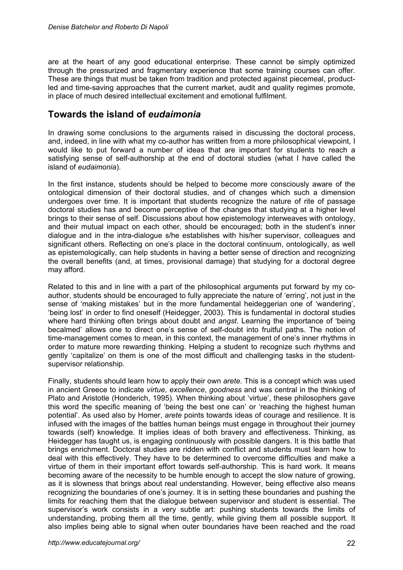are at the heart of any good educational enterprise. These cannot be simply optimized through the pressurized and fragmentary experience that some training courses can offer. These are things that must be taken from tradition and protected against piecemeal, productled and time-saving approaches that the current market, audit and quality regimes promote, in place of much desired intellectual excitement and emotional fulfilment.

## **Towards the island of** *eudaimonia*

In drawing some conclusions to the arguments raised in discussing the doctoral process, and, indeed, in line with what my co-author has written from a more philosophical viewpoint, I would like to put forward a number of ideas that are important for students to reach a satisfying sense of self-authorship at the end of doctoral studies (what I have called the island of *eudaimonia*).

In the first instance, students should be helped to become more consciously aware of the ontological dimension of their doctoral studies, and of changes which such a dimension undergoes over time. It is important that students recognize the nature of rite of passage doctoral studies has and become perceptive of the changes that studying at a higher level brings to their sense of self. Discussions about how epistemology interweaves with ontology, and their mutual impact on each other, should be encouraged; both in the student's inner dialogue and in the intra-dialogue s/he establishes with his/her supervisor, colleagues and significant others. Reflecting on one's place in the doctoral continuum, ontologically, as well as epistemologically, can help students in having a better sense of direction and recognizing the overall benefits (and, at times, provisional damage) that studying for a doctoral degree may afford.

Related to this and in line with a part of the philosophical arguments put forward by my coauthor, students should be encouraged to fully appreciate the nature of 'erring', not just in the sense of 'making mistakes' but in the more fundamental heideggerian one of 'wandering', 'being lost' in order to find oneself (Heidegger, 2003). This is fundamental in doctoral studies where hard thinking often brings about doubt and *angst*. Learning the importance of 'being becalmed' allows one to direct one's sense of self-doubt into fruitful paths. The notion of time-management comes to mean, in this context, the management of one's inner rhythms in order to mature more rewarding thinking. Helping a student to recognize such rhythms and gently 'capitalize' on them is one of the most difficult and challenging tasks in the studentsupervisor relationship.

Finally, students should learn how to apply their own *arete.* This is a concept which was used in ancient Greece to indicate *virtue*, *excellence*, *goodness* and was central in the thinking of Plato and Aristotle (Honderich, 1995). When thinking about 'virtue', these philosophers gave this word the specific meaning of 'being the best one can' or 'reaching the highest human potential'. As used also by Homer, *arete* points towards ideas of courage and resilience. It is infused with the images of the battles human beings must engage in throughout their journey towards (self) knowledge*.* It implies ideas of both bravery and effectiveness. Thinking, as Heidegger has taught us, is engaging continuously with possible dangers. It is this battle that brings enrichment. Doctoral studies are ridden with conflict and students must learn how to deal with this effectively. They have to be determined to overcome difficulties and make a virtue of them in their important effort towards self-authorship. This is hard work. It means becoming aware of the necessity to be humble enough to accept the slow nature of growing, as it is slowness that brings about real understanding. However, being effective also means recognizing the boundaries of one's journey. It is in setting these boundaries and pushing the limits for reaching them that the dialogue between supervisor and student is essential. The supervisor's work consists in a very subtle art: pushing students towards the limits of understanding, probing them all the time, gently, while giving them all possible support. It also implies being able to signal when outer boundaries have been reached and the road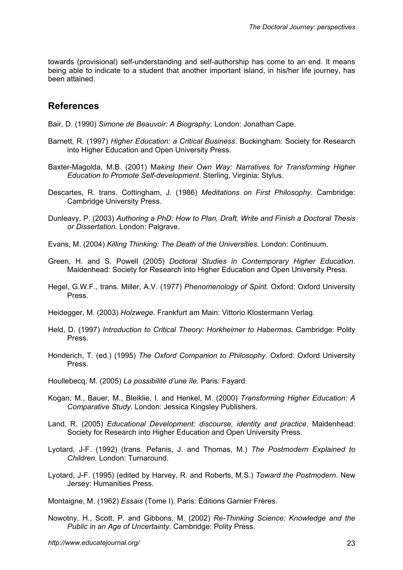towards (provisional) self-understanding and self-authorship has come to an end. It means being able to indicate to a student that another important island, in his/her life journey, has been attained.

### **References**

Bair, D. (1990) *Simone de Beauvoir: A Biography.* London: Jonathan Cape.

- Barnett, R. (1997) *Higher Education: a Critical Business*. Buckingham: Society for Research into Higher Education and Open University Press.
- Baxter-Magolda, M.B. (2001) M*aking their Own Way: Narratives for Transforming Higher Education to Promote Self-development*. Sterling, Virginia: Stylus.
- Descartes, R. trans. Cottingham, J. (1986) *Meditations on First Philosophy.* Cambridge: Cambridge University Press.
- Dunleavy, P. (2003) *Authoring a PhD: How to Plan, Draft, Write and Finish a Doctoral Thesis or Dissertation*. London: Palgrave.
- Evans, M. (2004) *Killing Thinking: The Death of the Universities*. London: Continuum.
- Green, H. and S. Powell (2005) *Doctoral Studies in Contemporary Higher Education*. Maidenhead: Society for Research into Higher Education and Open University Press.
- Hegel, G.W.F., trans. Miller, A.V. (1977) *Phenomenology of Spirit.* Oxford: Oxford University Press.
- Heidegger, M. (2003) *Holzwege*. Frankfurt am Main: Vittorio Klostermann Verlag.
- Held, D. (1997) *Introduction to Critical Theory: Horkheimer to Habermas.* Cambridge: Polity Press.
- Honderich, T. (ed.) (1995) *The Oxford Companion to Philosophy*. Oxford: Oxford University Press.

Houllebecq, M. (2005) *La possibilité d'une île*. Paris: Fayard.

- Kogan, M., Bauer, M., Bleiklie, I. and Henkel, M. (2000) *Transforming Higher Education: A Comparative Study*. London: Jessica Kingsley Publishers.
- Land, R. (2005) *Educational Development: discourse, identity and practice*. Maidenhead: Society for Research into Higher Education and Open University Press.
- Lyotard, J-F. (1992) (trans. Pefanis, J. and Thomas, M.) *The Postmodern Explained to Children.* London: Turnaround.
- Lyotard, J-F. (1995) (edited by Harvey, R. and Roberts, M.S.) *Toward the Postmodern.* New Jersey: Humanities Press.

Montaigne, M. (1962) *Essais* (Tome I). Paris: Éditions Garnier Frères.

Nowotny, H., Scott, P. and Gibbons, M. (2002) *Re-Thinking Science: Knowledge and the Public in an Age of Uncertainty*. Cambridge: Polity Press.